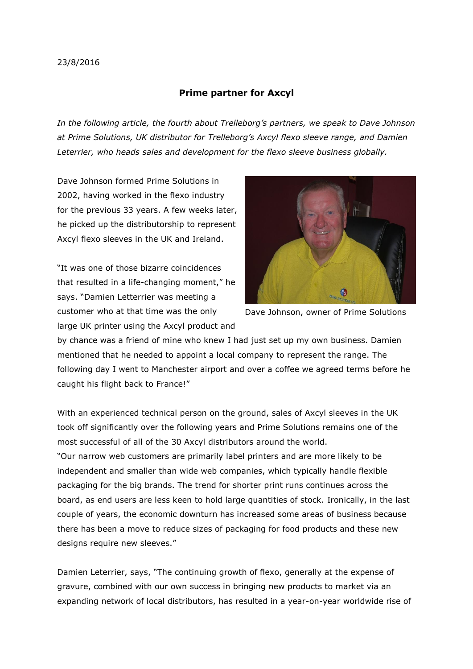## **Prime partner for Axcyl**

*In the following article, the fourth about Trelleborg's partners, we speak to Dave Johnson at Prime Solutions, UK distributor for Trelleborg's Axcyl flexo sleeve range, and Damien Leterrier, who heads sales and development for the flexo sleeve business globally.*

Dave Johnson formed Prime Solutions in 2002, having worked in the flexo industry for the previous 33 years. A few weeks later, he picked up the distributorship to represent Axcyl flexo sleeves in the UK and Ireland.

"It was one of those bizarre coincidences that resulted in a life-changing moment," he says. "Damien Letterrier was meeting a customer who at that time was the only large UK printer using the Axcyl product and



Dave Johnson, owner of Prime Solutions

by chance was a friend of mine who knew I had just set up my own business. Damien mentioned that he needed to appoint a local company to represent the range. The following day I went to Manchester airport and over a coffee we agreed terms before he caught his flight back to France!"

With an experienced technical person on the ground, sales of Axcyl sleeves in the UK took off significantly over the following years and Prime Solutions remains one of the most successful of all of the 30 Axcyl distributors around the world. "Our narrow web customers are primarily label printers and are more likely to be independent and smaller than wide web companies, which typically handle flexible packaging for the big brands. The trend for shorter print runs continues across the board, as end users are less keen to hold large quantities of stock. Ironically, in the last couple of years, the economic downturn has increased some areas of business because there has been a move to reduce sizes of packaging for food products and these new designs require new sleeves."

Damien Leterrier, says, "The continuing growth of flexo, generally at the expense of gravure, combined with our own success in bringing new products to market via an expanding network of local distributors, has resulted in a year-on-year worldwide rise of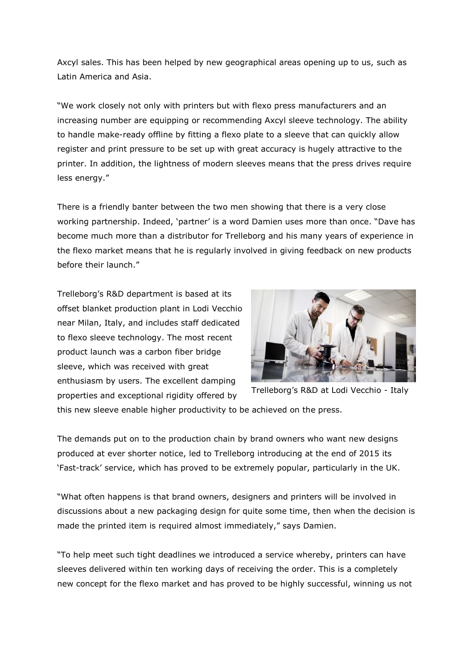Axcyl sales. This has been helped by new geographical areas opening up to us, such as Latin America and Asia.

"We work closely not only with printers but with flexo press manufacturers and an increasing number are equipping or recommending Axcyl sleeve technology. The ability to handle make-ready offline by fitting a flexo plate to a sleeve that can quickly allow register and print pressure to be set up with great accuracy is hugely attractive to the printer. In addition, the lightness of modern sleeves means that the press drives require less energy."

There is a friendly banter between the two men showing that there is a very close working partnership. Indeed, 'partner' is a word Damien uses more than once. "Dave has become much more than a distributor for Trelleborg and his many years of experience in the flexo market means that he is regularly involved in giving feedback on new products before their launch."

Trelleborg's R&D department is based at its offset blanket production plant in Lodi Vecchio near Milan, Italy, and includes staff dedicated to flexo sleeve technology. The most recent product launch was a carbon fiber bridge sleeve, which was received with great enthusiasm by users. The excellent damping properties and exceptional rigidity offered by



Trelleborg's R&D at Lodi Vecchio - Italy

this new sleeve enable higher productivity to be achieved on the press.

The demands put on to the production chain by brand owners who want new designs produced at ever shorter notice, led to Trelleborg introducing at the end of 2015 its 'Fast-track' service, which has proved to be extremely popular, particularly in the UK.

"What often happens is that brand owners, designers and printers will be involved in discussions about a new packaging design for quite some time, then when the decision is made the printed item is required almost immediately," says Damien.

"To help meet such tight deadlines we introduced a service whereby, printers can have sleeves delivered within ten working days of receiving the order. This is a completely new concept for the flexo market and has proved to be highly successful, winning us not